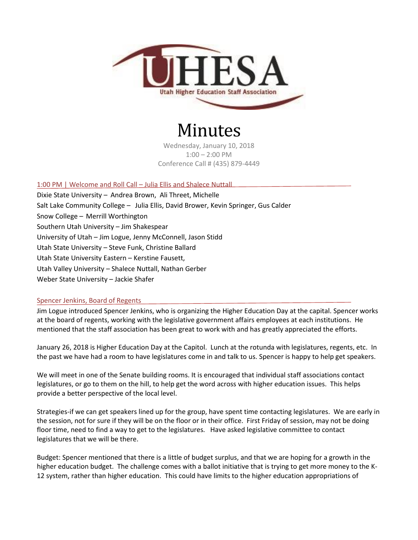

# Minutes

Wednesday, January 10, 2018 1:00 – 2:00 PM Conference Call # (435) 879-4449

## 1:00 PM | Welcome and Roll Call – Julia Ellis and Shalece Nuttall

Dixie State University – Andrea Brown, Ali Threet, Michelle Salt Lake Community College – Julia Ellis, David Brower, Kevin Springer, Gus Calder Snow College – Merrill Worthington Southern Utah University – Jim Shakespear University of Utah – Jim Logue, Jenny McConnell, Jason Stidd Utah State University – Steve Funk, Christine Ballard Utah State University Eastern – Kerstine Fausett, Utah Valley University – Shalece Nuttall, Nathan Gerber Weber State University – Jackie Shafer

# Spencer Jenkins, Board of Regents

Jim Logue introduced Spencer Jenkins, who is organizing the Higher Education Day at the capital. Spencer works at the board of regents, working with the legislative government affairs employees at each institutions. He mentioned that the staff association has been great to work with and has greatly appreciated the efforts.

January 26, 2018 is Higher Education Day at the Capitol. Lunch at the rotunda with legislatures, regents, etc. In the past we have had a room to have legislatures come in and talk to us. Spencer is happy to help get speakers.

We will meet in one of the Senate building rooms. It is encouraged that individual staff associations contact legislatures, or go to them on the hill, to help get the word across with higher education issues. This helps provide a better perspective of the local level.

Strategies-if we can get speakers lined up for the group, have spent time contacting legislatures. We are early in the session, not for sure if they will be on the floor or in their office. First Friday of session, may not be doing floor time, need to find a way to get to the legislatures. Have asked legislative committee to contact legislatures that we will be there.

Budget: Spencer mentioned that there is a little of budget surplus, and that we are hoping for a growth in the higher education budget. The challenge comes with a ballot initiative that is trying to get more money to the K-12 system, rather than higher education. This could have limits to the higher education appropriations of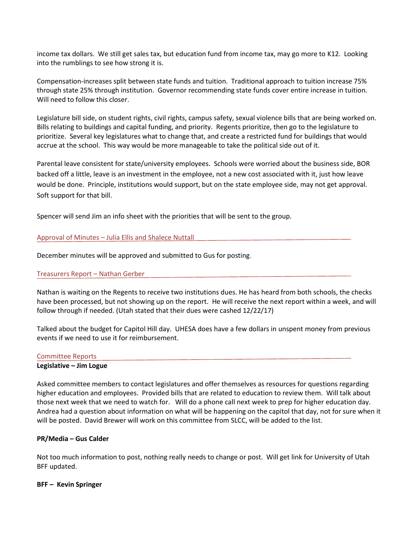income tax dollars. We still get sales tax, but education fund from income tax, may go more to K12. Looking into the rumblings to see how strong it is.

Compensation-increases split between state funds and tuition. Traditional approach to tuition increase 75% through state 25% through institution. Governor recommending state funds cover entire increase in tuition. Will need to follow this closer.

Legislature bill side, on student rights, civil rights, campus safety, sexual violence bills that are being worked on. Bills relating to buildings and capital funding, and priority. Regents prioritize, then go to the legislature to prioritize. Several key legislatures what to change that, and create a restricted fund for buildings that would accrue at the school. This way would be more manageable to take the political side out of it.

Parental leave consistent for state/university employees. Schools were worried about the business side, BOR backed off a little, leave is an investment in the employee, not a new cost associated with it, just how leave would be done. Principle, institutions would support, but on the state employee side, may not get approval. Soft support for that bill.

Spencer will send Jim an info sheet with the priorities that will be sent to the group.

## Approval of Minutes – Julia Ellis and Shalece Nuttall

December minutes will be approved and submitted to Gus for posting.

#### Treasurers Report – Nathan Gerber

Nathan is waiting on the Regents to receive two institutions dues. He has heard from both schools, the checks have been processed, but not showing up on the report. He will receive the next report within a week, and will follow through if needed. (Utah stated that their dues were cashed 12/22/17)

Talked about the budget for Capitol Hill day. UHESA does have a few dollars in unspent money from previous events if we need to use it for reimbursement.

#### Committee Reports

## **Legislative – Jim Logue**

Asked committee members to contact legislatures and offer themselves as resources for questions regarding higher education and employees. Provided bills that are related to education to review them. Will talk about those next week that we need to watch for. Will do a phone call next week to prep for higher education day. Andrea had a question about information on what will be happening on the capitol that day, not for sure when it will be posted. David Brewer will work on this committee from SLCC, will be added to the list.

# **PR/Media – Gus Calder**

Not too much information to post, nothing really needs to change or post. Will get link for University of Utah BFF updated.

#### **BFF – Kevin Springer**